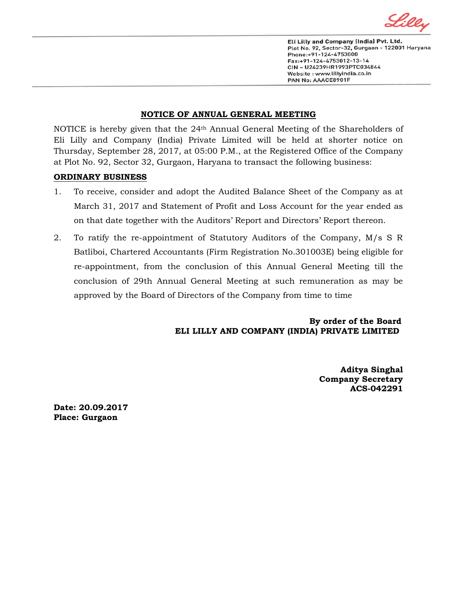

Eli Lilly and Company (India) Pvt. Ltd. Plot No. 92, Sector-32, Gurgaon - 122001 Haryana Phone:+91-124-4753000 Fax:+91-124-4753012-13-14 CIN - U24239HR1993PTC034844 Website: www.lillyindia.co.in PAN No: AAACE8901F

## **NOTICE OF ANNUAL GENERAL MEETING**

NOTICE is hereby given that the 24th Annual General Meeting of the Shareholders of Eli Lilly and Company (India) Private Limited will be held at shorter notice on Thursday, September 28, 2017*,* at 05:00 P.M., at the Registered Office of the Company at Plot No. 92, Sector 32, Gurgaon, Haryana to transact the following business:

## **ORDINARY BUSINESS**

- 1. To receive, consider and adopt the Audited Balance Sheet of the Company as at March 31, 2017 and Statement of Profit and Loss Account for the year ended as on that date together with the Auditors' Report and Directors' Report thereon.
- 2. To ratify the re-appointment of Statutory Auditors of the Company, M/s S R Batliboi, Chartered Accountants (Firm Registration No.301003E) being eligible for re-appointment, from the conclusion of this Annual General Meeting till the conclusion of 29th Annual General Meeting at such remuneration as may be approved by the Board of Directors of the Company from time to time

 **By order of the Board ELI LILLY AND COMPANY (INDIA) PRIVATE LIMITED**

> **Aditya Singhal Company Secretary ACS-042291**

**Date: 20.09.2017 Place: Gurgaon**